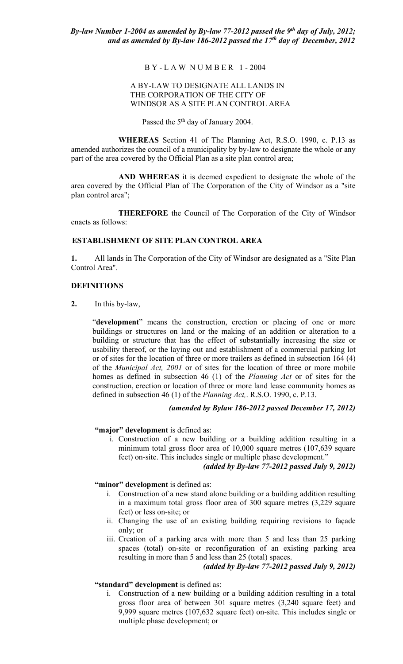#### B Y - L A W N U M B E R 1 - 2004

## A BY-LAW TO DESIGNATE ALL LANDS IN THE CORPORATION OF THE CITY OF WINDSOR AS A SITE PLAN CONTROL AREA

Passed the  $5<sup>th</sup>$  day of January 2004.

**WHEREAS** Section 41 of The Planning Act, R.S.O. 1990, c. P.13 as amended authorizes the council of a municipality by by-law to designate the whole or any part of the area covered by the Official Plan as a site plan control area;

**AND WHEREAS** it is deemed expedient to designate the whole of the area covered by the Official Plan of The Corporation of the City of Windsor as a "site plan control area";

**THEREFORE** the Council of The Corporation of the City of Windsor enacts as follows:

#### **ESTABLISHMENT OF SITE PLAN CONTROL AREA**

**1.** All lands in The Corporation of the City of Windsor are designated as a "Site Plan Control Area".

## **DEFINITIONS**

**2.** In this by-law,

"**development**" means the construction, erection or placing of one or more buildings or structures on land or the making of an addition or alteration to a building or structure that has the effect of substantially increasing the size or usability thereof, or the laying out and establishment of a commercial parking lot or of sites for the location of three or more trailers as defined in subsection 164 (4) of the *Municipal Act, 2001* or of sites for the location of three or more mobile homes as defined in subsection 46 (1) of the *Planning Act* or of sites for the construction, erection or location of three or more land lease community homes as defined in subsection 46 (1) of the *Planning Act,*. R.S.O. 1990, c. P.13.

## *(amended by Bylaw 186-2012 passed December 17, 2012)*

#### **"major" development** is defined as:

i. Construction of a new building or a building addition resulting in a minimum total gross floor area of 10,000 square metres (107,639 square feet) on-site. This includes single or multiple phase development."

# *(added by By-law 77-2012 passed July 9, 2012)*

#### "minor" development is defined as:

- i. Construction of a new stand alone building or a building addition resulting in a maximum total gross floor area of 300 square metres (3,229 square feet) or less on-site; or
- ii. Changing the use of an existing building requiring revisions to façade only; or
- iii. Creation of a parking area with more than 5 and less than 25 parking spaces (total) on-site or reconfiguration of an existing parking area resulting in more than 5 and less than 25 (total) spaces.

*(added by By-law 77-2012 passed July 9, 2012)* 

# **"standard" development** is defined as:

i. Construction of a new building or a building addition resulting in a total gross floor area of between 301 square metres (3,240 square feet) and 9,999 square metres (107,632 square feet) on-site. This includes single or multiple phase development; or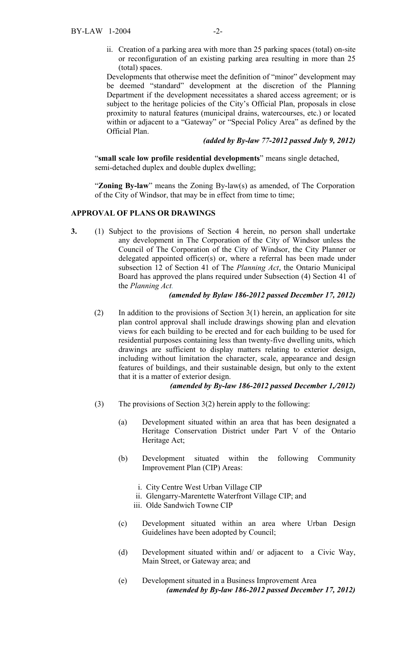ii. Creation of a parking area with more than 25 parking spaces (total) on-site or reconfiguration of an existing parking area resulting in more than 25 (total) spaces.

Developments that otherwise meet the definition of "minor" development may be deemed "standard" development at the discretion of the Planning Department if the development necessitates a shared access agreement; or is subject to the heritage policies of the City's Official Plan, proposals in close proximity to natural features (municipal drains, watercourses, etc.) or located within or adjacent to a "Gateway" or "Special Policy Area" as defined by the Official Plan.

## *(added by By-law 77-2012 passed July 9, 2012)*

"**small scale low profile residential developments**" means single detached, semi-detached duplex and double duplex dwelling;

"**Zoning By-law**" means the Zoning By-law(s) as amended, of The Corporation of the City of Windsor, that may be in effect from time to time;

## **APPROVAL OF PLANS OR DRAWINGS**

**3.** (1) Subject to the provisions of Section 4 herein, no person shall undertake any development in The Corporation of the City of Windsor unless the Council of The Corporation of the City of Windsor, the City Planner or delegated appointed officer(s) or, where a referral has been made under subsection 12 of Section 41 of The *Planning Act*, the Ontario Municipal Board has approved the plans required under Subsection (4) Section 41 of the *Planning Act.*

## *(amended by Bylaw 186-2012 passed December 17, 2012)*

(2) In addition to the provisions of Section  $3(1)$  herein, an application for site plan control approval shall include drawings showing plan and elevation views for each building to be erected and for each building to be used for residential purposes containing less than twenty-five dwelling units, which drawings are sufficient to display matters relating to exterior design, including without limitation the character, scale, appearance and design features of buildings, and their sustainable design, but only to the extent that it is a matter of exterior design.

#### *(amended by By-law 186-2012 passed December 1,/2012)*

- (3) The provisions of Section 3(2) herein apply to the following:
	- (a) Development situated within an area that has been designated a Heritage Conservation District under Part V of the Ontario Heritage Act;
	- (b) Development situated within the following Community Improvement Plan (CIP) Areas:
		- i. City Centre West Urban Village CIP
		- ii. Glengarry-Marentette Waterfront Village CIP; and
		- iii. Olde Sandwich Towne CIP
	- (c) Development situated within an area where Urban Design Guidelines have been adopted by Council;
	- (d) Development situated within and/ or adjacent to a Civic Way, Main Street, or Gateway area; and
	- (e) Development situated in a Business Improvement Area *(amended by By-law 186-2012 passed December 17, 2012)*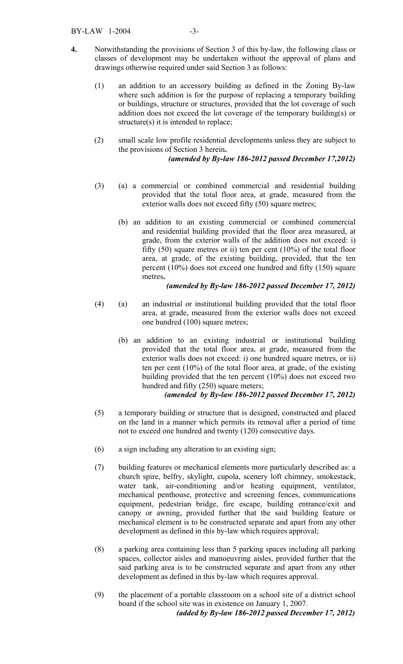- **4.** Notwithstanding the provisions of Section 3 of this by-law, the following class or classes of development may be undertaken without the approval of plans and drawings otherwise required under said Section 3 as follows:
	- (1) an addition to an accessory building as defined in the Zoning By-law where such addition is for the purpose of replacing a temporary building or buildings, structure or structures, provided that the lot coverage of such addition does not exceed the lot coverage of the temporary building(s) or structure(s) it is intended to replace;
	- (2) small scale low profile residential developments unless they are subject to the provisions of Section 3 herein**.**  *(amended by By-law 186-2012 passed December 17,2012)*
	- (3) (a) a commercial or combined commercial and residential building provided that the total floor area, at grade, measured from the exterior walls does not exceed fifty (50) square metres;
		- (b) an addition to an existing commercial or combined commercial and residential building provided that the floor area measured, at grade, from the exterior walls of the addition does not exceed: i) fifty  $(50)$  square metres or ii) ten per cent  $(10\%)$  of the total floor area, at grade, of the existing building, provided, that the ten percent (10%) does not exceed one hundred and fifty (150) square metres**.**

## *(amended by By-law 186-2012 passed December 17, 2012)*

- (4) (a) an industrial or institutional building provided that the total floor area, at grade, measured from the exterior walls does not exceed one hundred (100) square metres;
	- (b) an addition to an existing industrial or institutional building provided that the total floor area, at grade, measured from the exterior walls does not exceed: i) one hundred square metres, or ii) ten per cent (10%) of the total floor area, at grade, of the existing building provided that the ten percent (10%) does not exceed two hundred and fifty (250) square meters;

# *(amended by By-law 186-2012 passed December 17, 2012)*

- (5) a temporary building or structure that is designed, constructed and placed on the land in a manner which permits its removal after a period of time not to exceed one hundred and twenty (120) consecutive days.
- (6) a sign including any alteration to an existing sign;
- (7) building features or mechanical elements more particularly described as: a church spire, belfry, skylight, cupola, scenery loft chimney, smokestack, water tank, air-conditioning and/or heating equipment, ventilator, mechanical penthouse, protective and screening fences, communications equipment, pedestrian bridge, fire escape, building entrance/exit and canopy or awning, provided further that the said building feature or mechanical element is to be constructed separate and apart from any other development as defined in this by-law which requires approval;
- (8) a parking area containing less than 5 parking spaces including all parking spaces, collector aisles and manoeuvring aisles, provided further that the said parking area is to be constructed separate and apart from any other development as defined in this by-law which requires approval.
- (9) the placement of a portable classroom on a school site of a district school board if the school site was in existence on January 1, 2007. *(added by By-law 186-2012 passed December 17, 2012)*